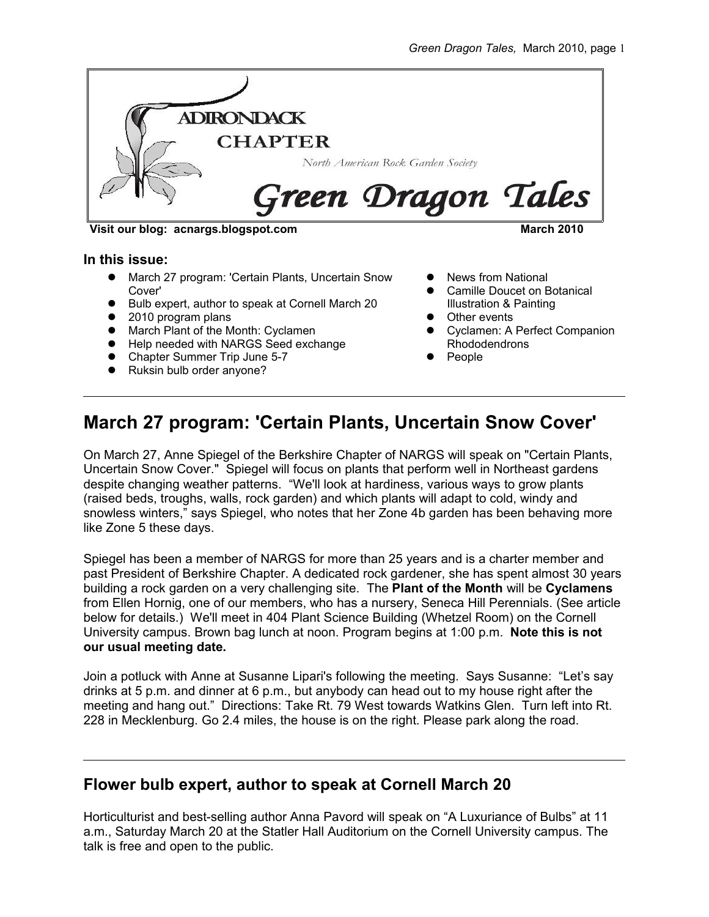

**Visit our blog: acnargs.blogspot.com March 2010**

#### **In this issue:**

- March 27 program: 'Certain Plants, Uncertain Snow Cover'
- Bulb expert, author to speak at Cornell March 20
- 2010 program plans
- March Plant of the Month: Cyclamen
- **•** Help needed with NARGS Seed exchange
- Chapter Summer Trip June 5-7
- Ruksin bulb order anyone?
- News from National
- Camille Doucet on Botanical Illustration & Painting
- **•** Other events
- **Cyclamen: A Perfect Companion** Rhododendrons
- People

# **March 27 program: 'Certain Plants, Uncertain Snow Cover'**

On March 27, Anne Spiegel of the Berkshire Chapter of NARGS will speak on "Certain Plants, Uncertain Snow Cover." Spiegel will focus on plants that perform well in Northeast gardens despite changing weather patterns. "We'll look at hardiness, various ways to grow plants (raised beds, troughs, walls, rock garden) and which plants will adapt to cold, windy and snowless winters," says Spiegel, who notes that her Zone 4b garden has been behaving more like Zone 5 these days.

Spiegel has been a member of NARGS for more than 25 years and is a charter member and past President of Berkshire Chapter. A dedicated rock gardener, she has spent almost 30 years building a rock garden on a very challenging site. The **Plant of the Month** will be **Cyclamens** from Ellen Hornig, one of our members, who has a nursery, Seneca Hill Perennials. (See article below for details.) We'll meet in 404 Plant Science Building (Whetzel Room) on the Cornell University campus. Brown bag lunch at noon. Program begins at 1:00 p.m. **Note this is not our usual meeting date.**

Join a potluck with Anne at Susanne Lipari's following the meeting. Says Susanne: "Let's say drinks at 5 p.m. and dinner at 6 p.m., but anybody can head out to my house right after the meeting and hang out." Directions: Take Rt. 79 West towards Watkins Glen. Turn left into Rt. 228 in Mecklenburg. Go 2.4 miles, the house is on the right. Please park along the road.

### **Flower bulb expert, author to speak at Cornell March 20**

Horticulturist and best-selling author Anna Pavord will speak on "A Luxuriance of Bulbs" at 11 a.m., Saturday March 20 at the Statler Hall Auditorium on the Cornell University campus. The talk is free and open to the public.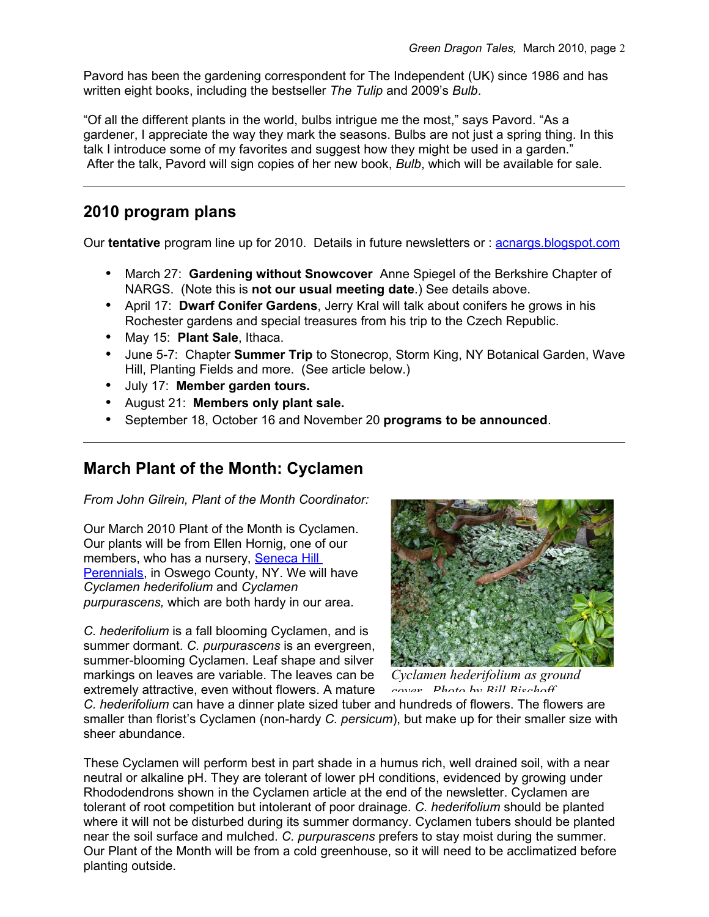Pavord has been the gardening correspondent for The Independent (UK) since 1986 and has written eight books, including the bestseller *The Tulip* and 2009's *Bulb*.

"Of all the different plants in the world, bulbs intrigue me the most," says Pavord. "As a gardener, I appreciate the way they mark the seasons. Bulbs are not just a spring thing. In this talk I introduce some of my favorites and suggest how they might be used in a garden." After the talk, Pavord will sign copies of her new book, *Bulb*, which will be available for sale.

### **2010 program plans**

Our **tentative** program line up for 2010. Details in future newsletters or : [acnargs.blogspot.com](http://acnargs.blogspot.com/)

- March 27: **Gardening without Snowcover** Anne Spiegel of the Berkshire Chapter of NARGS. (Note this is **not our usual meeting date**.) See details above.
- April 17: **Dwarf Conifer Gardens**, Jerry Kral will talk about conifers he grows in his Rochester gardens and special treasures from his trip to the Czech Republic.
- May 15: **Plant Sale**, Ithaca.
- June 5-7: Chapter **Summer Trip** to Stonecrop, Storm King, NY Botanical Garden, Wave Hill, Planting Fields and more. (See article below.)
- July 17: **Member garden tours.**
- August 21: **Members only plant sale.**
- September 18, October 16 and November 20 **programs to be announced**.

### **March Plant of the Month: Cyclamen**

*From John Gilrein, Plant of the Month Coordinator:*

Our March 2010 Plant of the Month is Cyclamen. Our plants will be from Ellen Hornig, one of our members, who has a nursery, [Seneca Hill](http://www.senecahillperennials.com/) [Perennials,](http://www.senecahillperennials.com/) in Oswego County, NY. We will have *Cyclamen hederifolium* and *Cyclamen purpurascens,* which are both hardy in our area.

*C. hederifolium* is a fall blooming Cyclamen, and is summer dormant. *C. purpurascens* is an evergreen, summer-blooming Cyclamen. Leaf shape and silver markings on leaves are variable. The leaves can be extremely attractive, even without flowers. A mature



*Cyclamen hederifolium as ground cover. Photo by Bill Bischoff.* 

*C. hederifolium* can have a dinner plate sized tuber and hundreds of flowers. The flowers are smaller than florist's Cyclamen (non-hardy *C. persicum*), but make up for their smaller size with sheer abundance.

These Cyclamen will perform best in part shade in a humus rich, well drained soil, with a near neutral or alkaline pH. They are tolerant of lower pH conditions, evidenced by growing under Rhododendrons shown in the Cyclamen article at the end of the newsletter. Cyclamen are tolerant of root competition but intolerant of poor drainage. *C. hederifolium* should be planted where it will not be disturbed during its summer dormancy. Cyclamen tubers should be planted near the soil surface and mulched. *C. purpurascens* prefers to stay moist during the summer. Our Plant of the Month will be from a cold greenhouse, so it will need to be acclimatized before planting outside.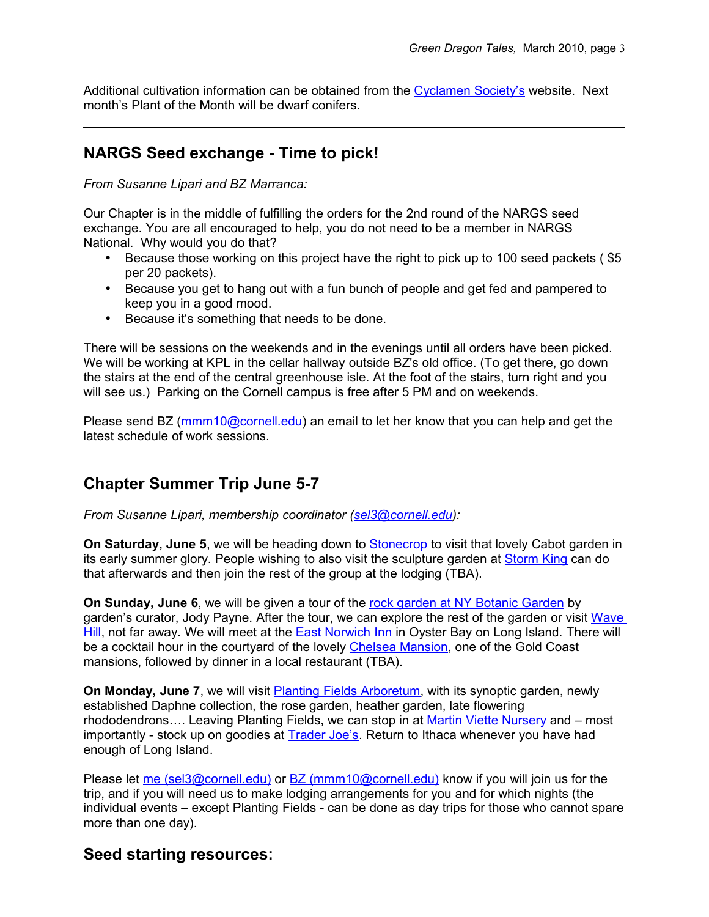Additional cultivation information can be obtained from the [Cyclamen Society's](http://www.cyclamen.org/cultiv_set.html) website. Next month's Plant of the Month will be dwarf conifers.

## **NARGS Seed exchange - Time to pick!**

*From Susanne Lipari and BZ Marranca:*

Our Chapter is in the middle of fulfilling the orders for the 2nd round of the NARGS seed exchange. You are all encouraged to help, you do not need to be a member in NARGS National. Why would you do that?

- Because those working on this project have the right to pick up to 100 seed packets (\$5 per 20 packets).
- Because you get to hang out with a fun bunch of people and get fed and pampered to keep you in a good mood.
- Because it's something that needs to be done.

There will be sessions on the weekends and in the evenings until all orders have been picked. We will be working at KPL in the cellar hallway outside BZ's old office. (To get there, go down the stairs at the end of the central greenhouse isle. At the foot of the stairs, turn right and you will see us.) Parking on the Cornell campus is free after 5 PM and on weekends.

Please send BZ [\(mmm10@cornell.edu\)](mailto:mmm10@cornell.edu) an email to let her know that you can help and get the latest schedule of work sessions.

### **Chapter Summer Trip June 5-7**

*From Susanne Lipari, membership coordinator [\(sel3@cornell.edu\)](mailto:sel3@cornell.edu):*

**On Saturday, June 5**, we will be heading down to [Stonecrop](http://www.stonecrop.org/) to visit that lovely Cabot garden in its early summer glory. People wishing to also visit the sculpture garden at [Storm King](http://www.stormking.org/) can do that afterwards and then join the rest of the group at the lodging (TBA).

**On Sunday, June 6**, we will be given a tour of the [rock garden at NY Botanic Garden](http://www.nybg.org/gardens/test_garden.php?id_gardens_collections=36) by garden's curator, Jody Payne. After the tour, we can explore the rest of the garden or visit [Wave](http://www.wavehill.org/home/) [Hill,](http://www.wavehill.org/home/) not far away. We will meet at the [East Norwich Inn](http://www.eastnorwichinn.com/) in Oyster Bay on Long Island. There will be a cocktail hour in the courtyard of the lovely [Chelsea Mansion,](http://chelseamansion.com/) one of the Gold Coast mansions, followed by dinner in a local restaurant (TBA).

**On Monday, June 7**, we will visit [Planting Fields Arboretum,](http://www.plantingfields.org/) with its synoptic garden, newly established Daphne collection, the rose garden, heather garden, late flowering rhododendrons.... Leaving Planting Fields, we can stop in at [Martin Viette Nursery](http://www.inthegardenradio.com/) and – most importantly - stock up on goodies at [Trader Joe's.](http://www.traderjoes.com/index.html) Return to Ithaca whenever you have had enough of Long Island.

Please let [me \(sel3@cornell.edu\)](mailto:sel3@cornell.edu) or [BZ \(mmm10@cornell.edu\)](mailto:mmm10@cornell.edu) know if you will join us for the trip, and if you will need us to make lodging arrangements for you and for which nights (the individual events – except Planting Fields - can be done as day trips for those who cannot spare more than one day).

### **Seed starting resources:**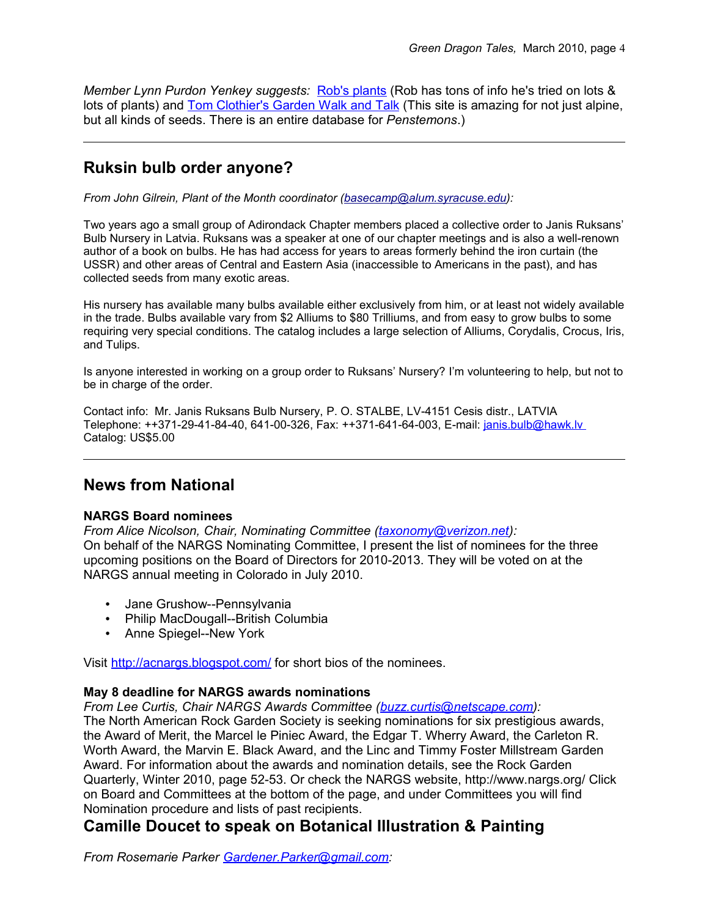*Member Lynn Purdon Yenkey suggests:* [Rob's plants](http://www.robsplants.com/seed/germination.php) (Rob has tons of info he's tried on lots & lots of plants) and [Tom Clothier's Garden Walk and Talk](http://tomclothier.hort.net/) (This site is amazing for not just alpine, but all kinds of seeds. There is an entire database for *Penstemons*.)

## **Ruksin bulb order anyone?**

*From John Gilrein, Plant of the Month coordinator [\(basecamp@alum.syracuse.edu\)](mailto:basecamp@alum.syracuse.edu):*

Two years ago a small group of Adirondack Chapter members placed a collective order to Janis Ruksans' Bulb Nursery in Latvia. Ruksans was a speaker at one of our chapter meetings and is also a well-renown author of a book on bulbs. He has had access for years to areas formerly behind the iron curtain (the USSR) and other areas of Central and Eastern Asia (inaccessible to Americans in the past), and has collected seeds from many exotic areas.

His nursery has available many bulbs available either exclusively from him, or at least not widely available in the trade. Bulbs available vary from \$2 Alliums to \$80 Trilliums, and from easy to grow bulbs to some requiring very special conditions. The catalog includes a large selection of Alliums, Corydalis, Crocus, Iris, and Tulips.

Is anyone interested in working on a group order to Ruksans' Nursery? I'm volunteering to help, but not to be in charge of the order.

Contact info: Mr. Janis Ruksans Bulb Nursery, P. O. STALBE, LV-4151 Cesis distr., LATVIA Telephone: ++371-29-41-84-40, 641-00-326, Fax: ++371-641-64-003, E-mail: [janis.bulb@hawk.lv](mailto:janis.bulb@hawk.lv) Catalog: US\$5.00

### **News from National**

#### **NARGS Board nominees**

*From Alice Nicolson, Chair, Nominating Committee [\(taxonomy@verizon.net\)](mailto:taxonomy@verizon.net):* On behalf of the NARGS Nominating Committee, I present the list of nominees for the three upcoming positions on the Board of Directors for 2010-2013. They will be voted on at the NARGS annual meeting in Colorado in July 2010.

- Jane Grushow--Pennsylvania
- Philip MacDougall--British Columbia
- Anne Spiegel--New York

Visit<http://acnargs.blogspot.com/>for short bios of the nominees.

#### **May 8 deadline for NARGS awards nominations**

*From Lee Curtis, Chair NARGS Awards Committee [\(buzz.curtis@netscape.com\)](mailto:buzz.curtis@netscape.com):*

The North American Rock Garden Society is seeking nominations for six prestigious awards, the Award of Merit, the Marcel le Piniec Award, the Edgar T. Wherry Award, the Carleton R. Worth Award, the Marvin E. Black Award, and the Linc and Timmy Foster Millstream Garden Award. For information about the awards and nomination details, see the Rock Garden Quarterly, Winter 2010, page 52-53. Or check the NARGS website, http://www.nargs.org/ Click on Board and Committees at the bottom of the page, and under Committees you will find Nomination procedure and lists of past recipients.

### **Camille Doucet to speak on Botanical Illustration & Painting**

*From Rosemarie Parker [Gardener.Parker@gmail.com:](mailto:Gardener.Parker@gmail.com)*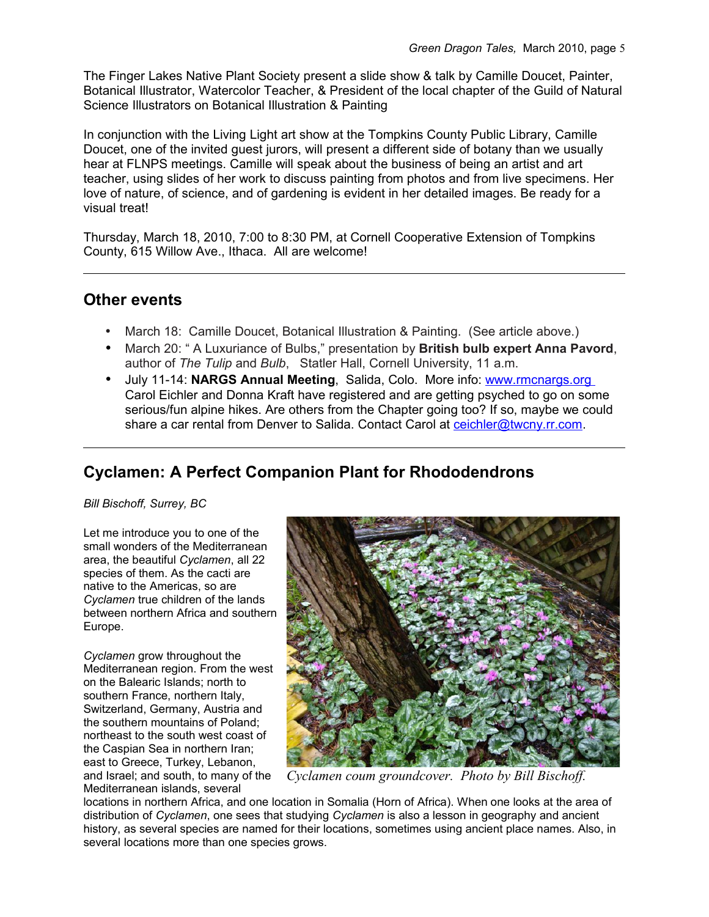The Finger Lakes Native Plant Society present a slide show & talk by Camille Doucet, Painter, Botanical Illustrator, Watercolor Teacher, & President of the local chapter of the Guild of Natural Science Illustrators on Botanical Illustration & Painting

In conjunction with the Living Light art show at the Tompkins County Public Library, Camille Doucet, one of the invited guest jurors, will present a different side of botany than we usually hear at FLNPS meetings. Camille will speak about the business of being an artist and art teacher, using slides of her work to discuss painting from photos and from live specimens. Her love of nature, of science, and of gardening is evident in her detailed images. Be ready for a visual treat!

Thursday, March 18, 2010, 7:00 to 8:30 PM, at Cornell Cooperative Extension of Tompkins County, 615 Willow Ave., Ithaca. All are welcome!

#### **Other events**

- March 18: Camille Doucet, Botanical Illustration & Painting. (See article above.)
- March 20: " A Luxuriance of Bulbs," presentation by **British bulb expert Anna Pavord**, author of *The Tulip* and *Bulb*, Statler Hall, Cornell University, 11 a.m.
- July 11-14: **NARGS Annual Meeting**, Salida, Colo. More info: [www.rmcnargs.org](http://www.rmcnargs.org/) Carol Eichler and Donna Kraft have registered and are getting psyched to go on some serious/fun alpine hikes. Are others from the Chapter going too? If so, maybe we could share a car rental from Denver to Salida. Contact Carol at [ceichler@twcny.rr.com.](mailto:ceichler@twcny.rr.com)

# **Cyclamen: A Perfect Companion Plant for Rhododendrons**

*Bill Bischoff, Surrey, BC*

Let me introduce you to one of the small wonders of the Mediterranean area, the beautiful *Cyclamen*, all 22 species of them. As the cacti are native to the Americas, so are *Cyclamen* true children of the lands between northern Africa and southern Europe.

*Cyclamen* grow throughout the Mediterranean region. From the west on the Balearic Islands; north to southern France, northern Italy, Switzerland, Germany, Austria and the southern mountains of Poland; northeast to the south west coast of the Caspian Sea in northern Iran; east to Greece, Turkey, Lebanon, and Israel; and south, to many of the Mediterranean islands, several



*Cyclamen coum groundcover. Photo by Bill Bischoff.*

locations in northern Africa, and one location in Somalia (Horn of Africa). When one looks at the area of distribution of *Cyclamen*, one sees that studying *Cyclamen* is also a lesson in geography and ancient history, as several species are named for their locations, sometimes using ancient place names. Also, in several locations more than one species grows.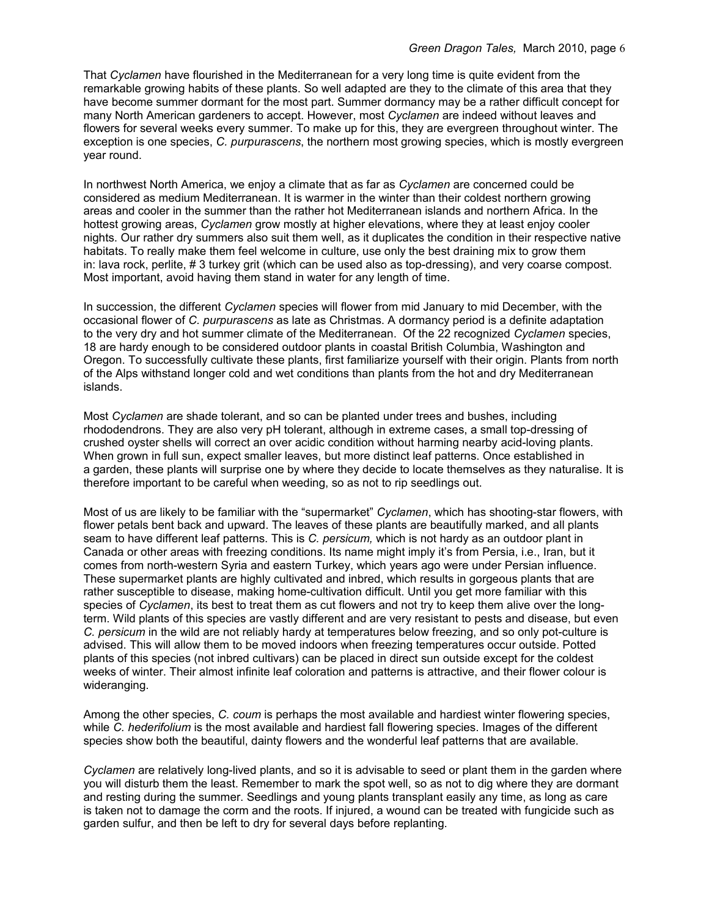That *Cyclamen* have flourished in the Mediterranean for a very long time is quite evident from the remarkable growing habits of these plants. So well adapted are they to the climate of this area that they have become summer dormant for the most part. Summer dormancy may be a rather difficult concept for many North American gardeners to accept. However, most *Cyclamen* are indeed without leaves and flowers for several weeks every summer. To make up for this, they are evergreen throughout winter. The exception is one species, *C. purpurascens*, the northern most growing species, which is mostly evergreen year round.

In northwest North America, we enjoy a climate that as far as *Cyclamen* are concerned could be considered as medium Mediterranean. It is warmer in the winter than their coldest northern growing areas and cooler in the summer than the rather hot Mediterranean islands and northern Africa. In the hottest growing areas, *Cyclamen* grow mostly at higher elevations, where they at least enjoy cooler nights. Our rather dry summers also suit them well, as it duplicates the condition in their respective native habitats. To really make them feel welcome in culture, use only the best draining mix to grow them in: lava rock, perlite, # 3 turkey grit (which can be used also as top-dressing), and very coarse compost. Most important, avoid having them stand in water for any length of time.

In succession, the different *Cyclamen* species will flower from mid January to mid December, with the occasional flower of *C. purpurascens* as late as Christmas. A dormancy period is a definite adaptation to the very dry and hot summer climate of the Mediterranean. Of the 22 recognized *Cyclamen* species, 18 are hardy enough to be considered outdoor plants in coastal British Columbia, Washington and Oregon. To successfully cultivate these plants, first familiarize yourself with their origin. Plants from north of the Alps withstand longer cold and wet conditions than plants from the hot and dry Mediterranean islands.

Most *Cyclamen* are shade tolerant, and so can be planted under trees and bushes, including rhododendrons. They are also very pH tolerant, although in extreme cases, a small top-dressing of crushed oyster shells will correct an over acidic condition without harming nearby acid-loving plants. When grown in full sun, expect smaller leaves, but more distinct leaf patterns. Once established in a garden, these plants will surprise one by where they decide to locate themselves as they naturalise. It is therefore important to be careful when weeding, so as not to rip seedlings out.

Most of us are likely to be familiar with the "supermarket" *Cyclamen*, which has shooting-star flowers, with flower petals bent back and upward. The leaves of these plants are beautifully marked, and all plants seam to have different leaf patterns. This is *C. persicum,* which is not hardy as an outdoor plant in Canada or other areas with freezing conditions. Its name might imply it's from Persia, i.e., Iran, but it comes from north-western Syria and eastern Turkey, which years ago were under Persian influence. These supermarket plants are highly cultivated and inbred, which results in gorgeous plants that are rather susceptible to disease, making home-cultivation difficult. Until you get more familiar with this species of *Cyclamen*, its best to treat them as cut flowers and not try to keep them alive over the longterm. Wild plants of this species are vastly different and are very resistant to pests and disease, but even *C. persicum* in the wild are not reliably hardy at temperatures below freezing, and so only pot-culture is advised. This will allow them to be moved indoors when freezing temperatures occur outside. Potted plants of this species (not inbred cultivars) can be placed in direct sun outside except for the coldest weeks of winter. Their almost infinite leaf coloration and patterns is attractive, and their flower colour is wideranging.

Among the other species, *C. coum* is perhaps the most available and hardiest winter flowering species, while *C. hederifolium* is the most available and hardiest fall flowering species. Images of the different species show both the beautiful, dainty flowers and the wonderful leaf patterns that are available.

*Cyclamen* are relatively long-lived plants, and so it is advisable to seed or plant them in the garden where you will disturb them the least. Remember to mark the spot well, so as not to dig where they are dormant and resting during the summer. Seedlings and young plants transplant easily any time, as long as care is taken not to damage the corm and the roots. If injured, a wound can be treated with fungicide such as garden sulfur, and then be left to dry for several days before replanting.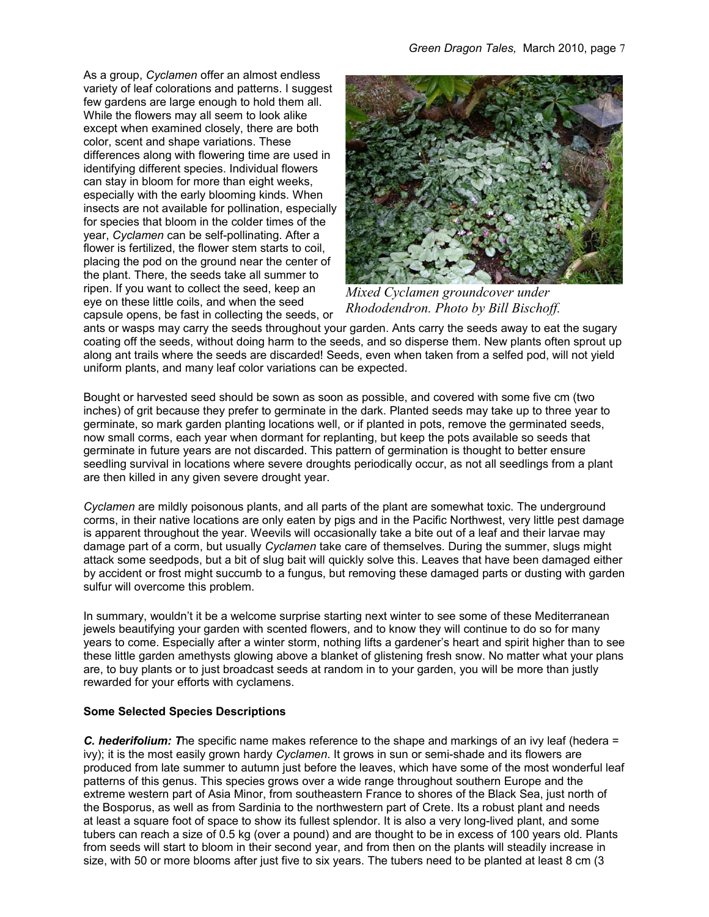As a group, *Cyclamen* offer an almost endless variety of leaf colorations and patterns. I suggest few gardens are large enough to hold them all. While the flowers may all seem to look alike except when examined closely, there are both color, scent and shape variations. These differences along with flowering time are used in identifying different species. Individual flowers can stay in bloom for more than eight weeks, especially with the early blooming kinds. When insects are not available for pollination, especially for species that bloom in the colder times of the year, *Cyclamen* can be self-pollinating. After a flower is fertilized, the flower stem starts to coil, placing the pod on the ground near the center of the plant. There, the seeds take all summer to ripen. If you want to collect the seed, keep an eye on these little coils, and when the seed capsule opens, be fast in collecting the seeds, or



*Mixed Cyclamen groundcover under Rhododendron. Photo by Bill Bischoff.*

ants or wasps may carry the seeds throughout your garden. Ants carry the seeds away to eat the sugary coating off the seeds, without doing harm to the seeds, and so disperse them. New plants often sprout up along ant trails where the seeds are discarded! Seeds, even when taken from a selfed pod, will not yield uniform plants, and many leaf color variations can be expected.

Bought or harvested seed should be sown as soon as possible, and covered with some five cm (two inches) of grit because they prefer to germinate in the dark. Planted seeds may take up to three year to germinate, so mark garden planting locations well, or if planted in pots, remove the germinated seeds, now small corms, each year when dormant for replanting, but keep the pots available so seeds that germinate in future years are not discarded. This pattern of germination is thought to better ensure seedling survival in locations where severe droughts periodically occur, as not all seedlings from a plant are then killed in any given severe drought year.

*Cyclamen* are mildly poisonous plants, and all parts of the plant are somewhat toxic. The underground corms, in their native locations are only eaten by pigs and in the Pacific Northwest, very little pest damage is apparent throughout the year. Weevils will occasionally take a bite out of a leaf and their larvae may damage part of a corm, but usually *Cyclamen* take care of themselves. During the summer, slugs might attack some seedpods, but a bit of slug bait will quickly solve this. Leaves that have been damaged either by accident or frost might succumb to a fungus, but removing these damaged parts or dusting with garden sulfur will overcome this problem.

In summary, wouldn't it be a welcome surprise starting next winter to see some of these Mediterranean jewels beautifying your garden with scented flowers, and to know they will continue to do so for many years to come. Especially after a winter storm, nothing lifts a gardener's heart and spirit higher than to see these little garden amethysts glowing above a blanket of glistening fresh snow. No matter what your plans are, to buy plants or to just broadcast seeds at random in to your garden, you will be more than justly rewarded for your efforts with cyclamens.

#### **Some Selected Species Descriptions**

*C. hederifolium: T*he specific name makes reference to the shape and markings of an ivy leaf (hedera = ivy); it is the most easily grown hardy *Cyclamen*. It grows in sun or semi-shade and its flowers are produced from late summer to autumn just before the leaves, which have some of the most wonderful leaf patterns of this genus. This species grows over a wide range throughout southern Europe and the extreme western part of Asia Minor, from southeastern France to shores of the Black Sea, just north of the Bosporus, as well as from Sardinia to the northwestern part of Crete. Its a robust plant and needs at least a square foot of space to show its fullest splendor. It is also a very long-lived plant, and some tubers can reach a size of 0.5 kg (over a pound) and are thought to be in excess of 100 years old. Plants from seeds will start to bloom in their second year, and from then on the plants will steadily increase in size, with 50 or more blooms after just five to six years. The tubers need to be planted at least 8 cm (3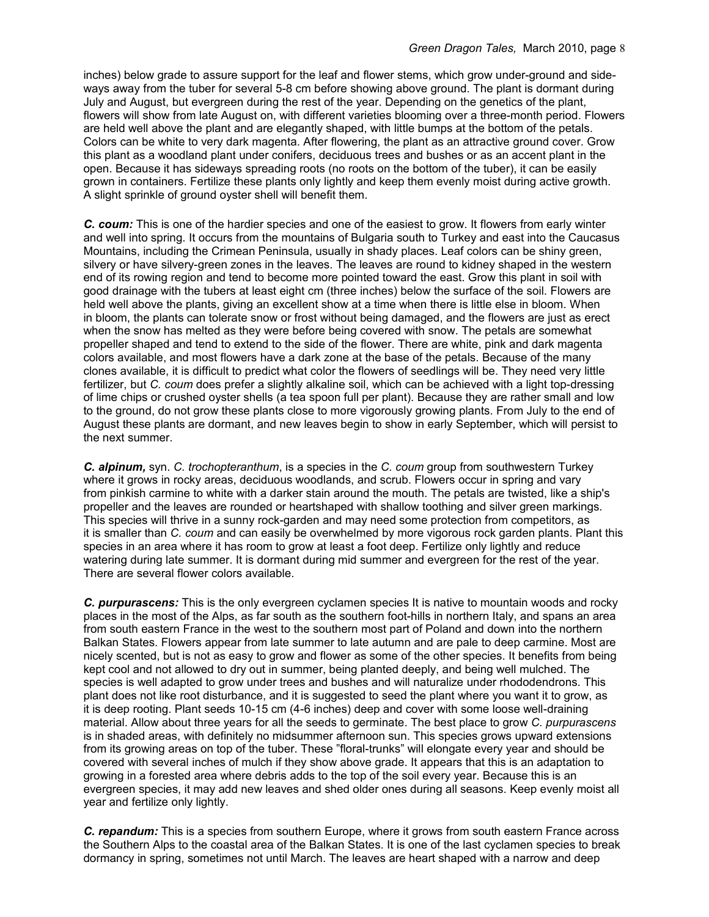inches) below grade to assure support for the leaf and flower stems, which grow under-ground and sideways away from the tuber for several 5-8 cm before showing above ground. The plant is dormant during July and August, but evergreen during the rest of the year. Depending on the genetics of the plant, flowers will show from late August on, with different varieties blooming over a three-month period. Flowers are held well above the plant and are elegantly shaped, with little bumps at the bottom of the petals. Colors can be white to very dark magenta. After flowering, the plant as an attractive ground cover. Grow this plant as a woodland plant under conifers, deciduous trees and bushes or as an accent plant in the open. Because it has sideways spreading roots (no roots on the bottom of the tuber), it can be easily grown in containers. Fertilize these plants only lightly and keep them evenly moist during active growth. A slight sprinkle of ground oyster shell will benefit them.

*C. coum:* This is one of the hardier species and one of the easiest to grow. It flowers from early winter and well into spring. It occurs from the mountains of Bulgaria south to Turkey and east into the Caucasus Mountains, including the Crimean Peninsula, usually in shady places. Leaf colors can be shiny green, silvery or have silvery-green zones in the leaves. The leaves are round to kidney shaped in the western end of its rowing region and tend to become more pointed toward the east. Grow this plant in soil with good drainage with the tubers at least eight cm (three inches) below the surface of the soil. Flowers are held well above the plants, giving an excellent show at a time when there is little else in bloom. When in bloom, the plants can tolerate snow or frost without being damaged, and the flowers are just as erect when the snow has melted as they were before being covered with snow. The petals are somewhat propeller shaped and tend to extend to the side of the flower. There are white, pink and dark magenta colors available, and most flowers have a dark zone at the base of the petals. Because of the many clones available, it is difficult to predict what color the flowers of seedlings will be. They need very little fertilizer, but *C. coum* does prefer a slightly alkaline soil, which can be achieved with a light top-dressing of lime chips or crushed oyster shells (a tea spoon full per plant). Because they are rather small and low to the ground, do not grow these plants close to more vigorously growing plants. From July to the end of August these plants are dormant, and new leaves begin to show in early September, which will persist to the next summer.

*C. alpinum,* syn. *C. trochopteranthum*, is a species in the *C. coum* group from southwestern Turkey where it grows in rocky areas, deciduous woodlands, and scrub. Flowers occur in spring and vary from pinkish carmine to white with a darker stain around the mouth. The petals are twisted, like a ship's propeller and the leaves are rounded or heartshaped with shallow toothing and silver green markings. This species will thrive in a sunny rock-garden and may need some protection from competitors, as it is smaller than *C. coum* and can easily be overwhelmed by more vigorous rock garden plants. Plant this species in an area where it has room to grow at least a foot deep. Fertilize only lightly and reduce watering during late summer. It is dormant during mid summer and evergreen for the rest of the year. There are several flower colors available.

*C. purpurascens:* This is the only evergreen cyclamen species It is native to mountain woods and rocky places in the most of the Alps, as far south as the southern foot-hills in northern Italy, and spans an area from south eastern France in the west to the southern most part of Poland and down into the northern Balkan States. Flowers appear from late summer to late autumn and are pale to deep carmine. Most are nicely scented, but is not as easy to grow and flower as some of the other species. It benefits from being kept cool and not allowed to dry out in summer, being planted deeply, and being well mulched. The species is well adapted to grow under trees and bushes and will naturalize under rhododendrons. This plant does not like root disturbance, and it is suggested to seed the plant where you want it to grow, as it is deep rooting. Plant seeds 10-15 cm (4-6 inches) deep and cover with some loose well-draining material. Allow about three years for all the seeds to germinate. The best place to grow *C. purpurascens* is in shaded areas, with definitely no midsummer afternoon sun. This species grows upward extensions from its growing areas on top of the tuber. These "floral-trunks" will elongate every year and should be covered with several inches of mulch if they show above grade. It appears that this is an adaptation to growing in a forested area where debris adds to the top of the soil every year. Because this is an evergreen species, it may add new leaves and shed older ones during all seasons. Keep evenly moist all year and fertilize only lightly.

*C. repandum:* This is a species from southern Europe, where it grows from south eastern France across the Southern Alps to the coastal area of the Balkan States. It is one of the last cyclamen species to break dormancy in spring, sometimes not until March. The leaves are heart shaped with a narrow and deep